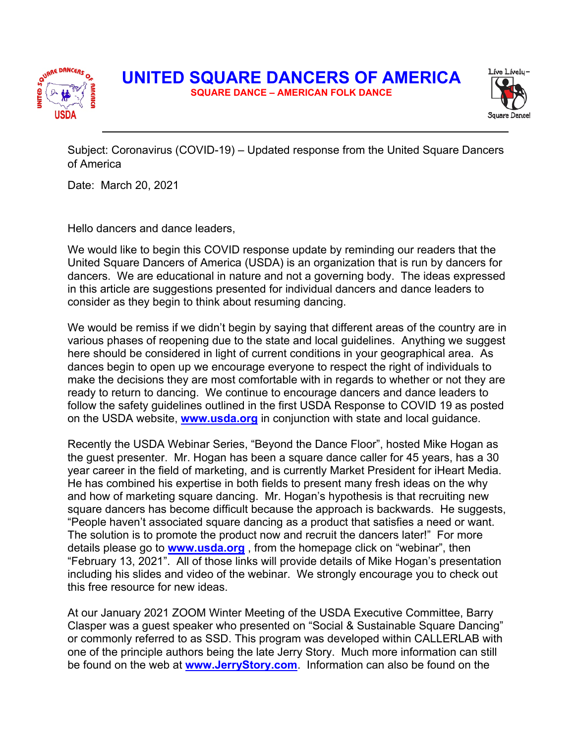



Subject: Coronavirus (COVID-19) – Updated response from the United Square Dancers of America

Date: March 20, 2021

Hello dancers and dance leaders,

We would like to begin this COVID response update by reminding our readers that the United Square Dancers of America (USDA) is an organization that is run by dancers for dancers. We are educational in nature and not a governing body. The ideas expressed in this article are suggestions presented for individual dancers and dance leaders to consider as they begin to think about resuming dancing.

We would be remiss if we didn't begin by saying that different areas of the country are in various phases of reopening due to the state and local guidelines. Anything we suggest here should be considered in light of current conditions in your geographical area. As dances begin to open up we encourage everyone to respect the right of individuals to make the decisions they are most comfortable with in regards to whether or not they are ready to return to dancing. We continue to encourage dancers and dance leaders to follow the safety guidelines outlined in the first USDA Response to COVID 19 as posted on the USDA website, **www.usda.org** in conjunction with state and local guidance.

Recently the USDA Webinar Series, "Beyond the Dance Floor", hosted Mike Hogan as the guest presenter. Mr. Hogan has been a square dance caller for 45 years, has a 30 year career in the field of marketing, and is currently Market President for iHeart Media. He has combined his expertise in both fields to present many fresh ideas on the why and how of marketing square dancing. Mr. Hogan's hypothesis is that recruiting new square dancers has become difficult because the approach is backwards. He suggests, "People haven't associated square dancing as a product that satisfies a need or want. The solution is to promote the product now and recruit the dancers later!" For more details please go to **www.usda.org** , from the homepage click on "webinar", then "February 13, 2021". All of those links will provide details of Mike Hogan's presentation including his slides and video of the webinar. We strongly encourage you to check out this free resource for new ideas.

At our January 2021 ZOOM Winter Meeting of the USDA Executive Committee, Barry Clasper was a guest speaker who presented on "Social & Sustainable Square Dancing" or commonly referred to as SSD. This program was developed within CALLERLAB with one of the principle authors being the late Jerry Story. Much more information can still be found on the web at **www.JerryStory.com**. Information can also be found on the